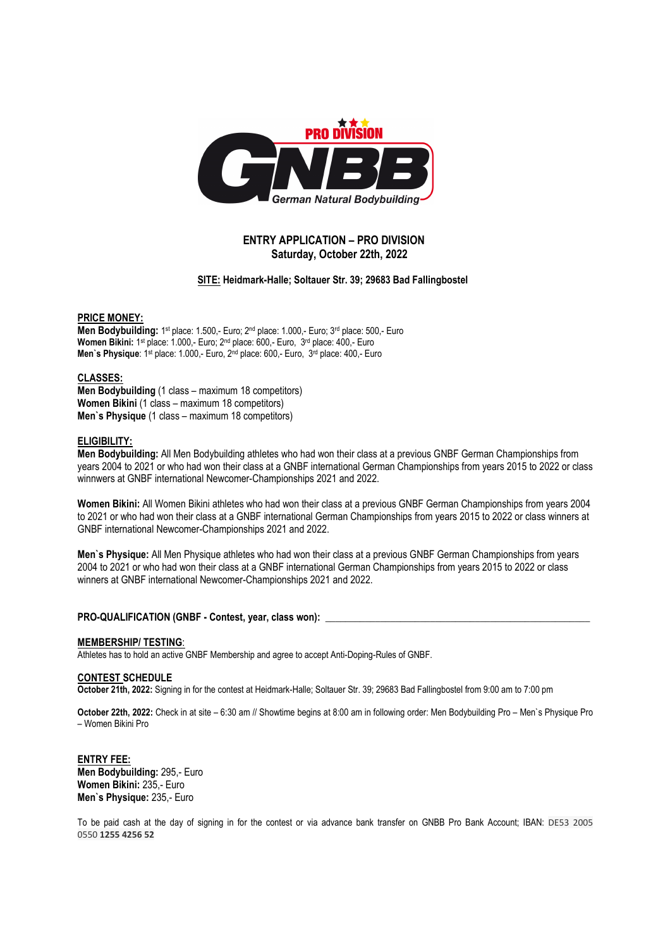

# **ENTRY APPLICATION – PRO DIVISION Saturday, October 22th, 2022**

## **SITE: Heidmark-Halle; Soltauer Str. 39; 29683 Bad Fallingbostel**

## **PRICE MONEY:**

Men Bodybuilding: 1<sup>st</sup> place: 1.500,- Euro; 2<sup>nd</sup> place: 1.000,- Euro; 3<sup>rd</sup> place: 500,- Euro **Women Bikini:** 1st place: 1.000,- Euro; 2nd place: 600,- Euro, 3rd place: 400,- Euro Men's Physique: 1<sup>st</sup> place: 1.000,- Euro, 2<sup>nd</sup> place: 600,- Euro, 3<sup>rd</sup> place: 400,- Euro

## **CLASSES:**

**Men Bodybuilding** (1 class – maximum 18 competitors) **Women Bikini** (1 class – maximum 18 competitors) **Men`s Physique** (1 class – maximum 18 competitors)

# **ELIGIBILITY:**

**Men Bodybuilding:** All Men Bodybuilding athletes who had won their class at a previous GNBF German Championships from years 2004 to 2021 or who had won their class at a GNBF international German Championships from years 2015 to 2022 or class winnwers at GNBF international Newcomer-Championships 2021 and 2022.

**Women Bikini:** All Women Bikini athletes who had won their class at a previous GNBF German Championships from years 2004 to 2021 or who had won their class at a GNBF international German Championships from years 2015 to 2022 or class winners at GNBF international Newcomer-Championships 2021 and 2022.

**Men`s Physique:** All Men Physique athletes who had won their class at a previous GNBF German Championships from years 2004 to 2021 or who had won their class at a GNBF international German Championships from years 2015 to 2022 or class winners at GNBF international Newcomer-Championships 2021 and 2022.

# PRO-QUALIFICATION (GNBF - Contest, year, class won):

#### **MEMBERSHIP/ TESTING**:

Athletes has to hold an active GNBF Membership and agree to accept Anti-Doping-Rules of GNBF.

#### **CONTEST SCHEDULE**

**October 21th, 2022:** Signing in for the contest at Heidmark-Halle; Soltauer Str. 39; 29683 Bad Fallingbostel from 9:00 am to 7:00 pm

**October 22th, 2022:** Check in at site – 6:30 am // Showtime begins at 8:00 am in following order: Men Bodybuilding Pro – Men`s Physique Pro – Women Bikini Pro

**ENTRY FEE: Men Bodybuilding:** 295,- Euro **Women Bikini:** 235,- Euro **Men`s Physique:** 235,- Euro

To be paid cash at the day of signing in for the contest or via advance bank transfer on GNBB Pro Bank Account; IBAN: DE53 2005 0550 **1255 4256 52**